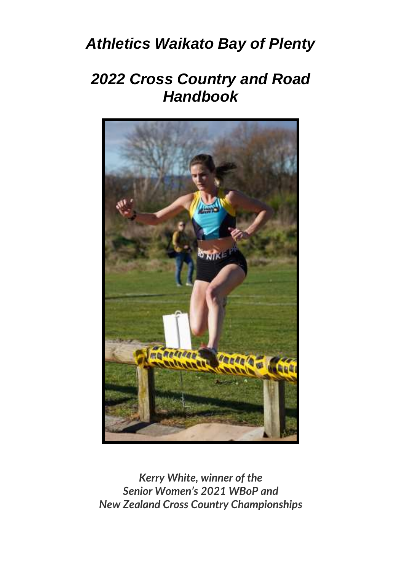# *Athletics Waikato Bay of Plenty*

# *2022 Cross Country and Road Handbook*



*Kerry White, winner of the Senior Women's 2021 WBoP and New Zealand Cross Country Championships*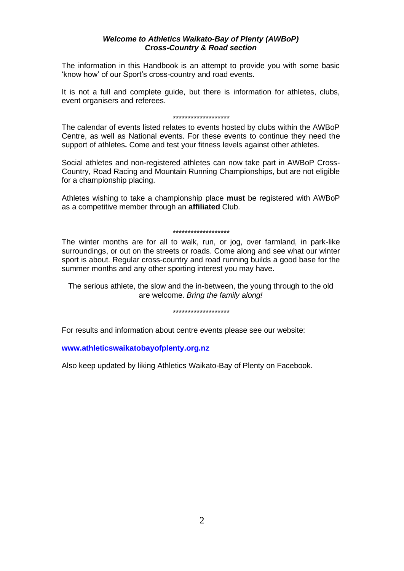#### *Welcome to Athletics Waikato-Bay of Plenty (AWBoP) Cross-Country & Road section*

The information in this Handbook is an attempt to provide you with some basic 'know how' of our Sport's cross-country and road events.

It is not a full and complete guide, but there is information for athletes, clubs, event organisers and referees.

#### *\*\*\*\*\*\*\*\*\*\*\*\*\*\*\*\*\*\*\**

The calendar of events listed relates to events hosted by clubs within the AWBoP Centre, as well as National events. For these events to continue they need the support of athletes**.** Come and test your fitness levels against other athletes.

Social athletes and non-registered athletes can now take part in AWBoP Cross-Country, Road Racing and Mountain Running Championships, but are not eligible for a championship placing.

Athletes wishing to take a championship place **must** be registered with AWBoP as a competitive member through an **affiliated** Club.

#### *\*\*\*\*\*\*\*\*\*\*\*\*\*\*\*\*\*\*\**

The winter months are for all to walk, run, or jog, over farmland, in park-like surroundings, or out on the streets or roads. Come along and see what our winter sport is about. Regular cross-country and road running builds a good base for the summer months and any other sporting interest you may have.

The serious athlete, the slow and the in-between, the young through to the old are welcome. *Bring the family along!* 

#### *\*\*\*\*\*\*\*\*\*\*\*\*\*\*\*\*\*\*\**

For results and information about centre events please see our website:

#### **[www.athleticswaikatobayofplenty.org.nz](http://www.athleticswaikatobayofplenty.org.nz/)**

Also keep updated by liking Athletics Waikato-Bay of Plenty on Facebook.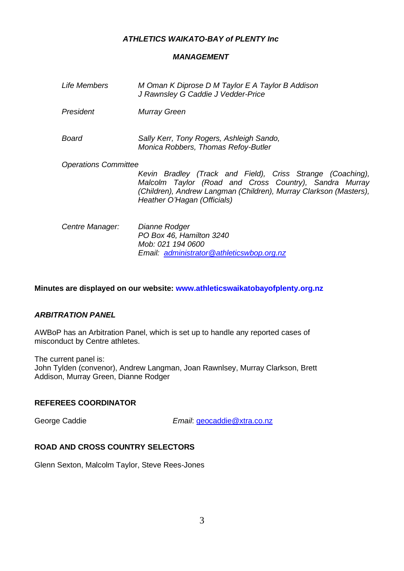## *ATHLETICS WAIKATO-BAY of PLENTY Inc*

## *MANAGEMENT*

| Life Members                | M Oman K Diprose D M Taylor E A Taylor B Addison<br>J Rawnsley G Caddie J Vedder-Price                                                                                                                                   |
|-----------------------------|--------------------------------------------------------------------------------------------------------------------------------------------------------------------------------------------------------------------------|
| President                   | Murray Green                                                                                                                                                                                                             |
| Board                       | Sally Kerr, Tony Rogers, Ashleigh Sando,<br>Monica Robbers, Thomas Refoy-Butler                                                                                                                                          |
| <b>Operations Committee</b> | Kevin Bradley (Track and Field), Criss Strange (Coaching),<br>Malcolm Taylor (Road and Cross Country), Sandra Murray<br>(Children), Andrew Langman (Children), Murray Clarkson (Masters),<br>Heather O'Hagan (Officials) |
| Centre Manager:             | Dianne Rodger<br>PO Box 46, Hamilton 3240<br>Mob: 021 194 0600<br>Email administrator@athleticswbop.org.nz                                                                                                               |

**Minutes are displayed on our website[: www.athleticswaikatobayofplenty.org.nz](http://www.athleticswaikatobayofplenty.org.nz/)**

## *ARBITRATION PANEL*

AWBoP has an Arbitration Panel, which is set up to handle any reported cases of misconduct by Centre athletes.

The current panel is:

John Tylden (convenor), Andrew Langman, Joan Rawnlsey, Murray Clarkson, Brett Addison, Murray Green, Dianne Rodger

## **REFEREES COORDINATOR**

George Caddie *Email*[: geocaddie@xtra.co.nz](mailto:geocaddie@xtra.co.nz)

## **ROAD AND CROSS COUNTRY SELECTORS**

Glenn Sexton, Malcolm Taylor, Steve Rees-Jones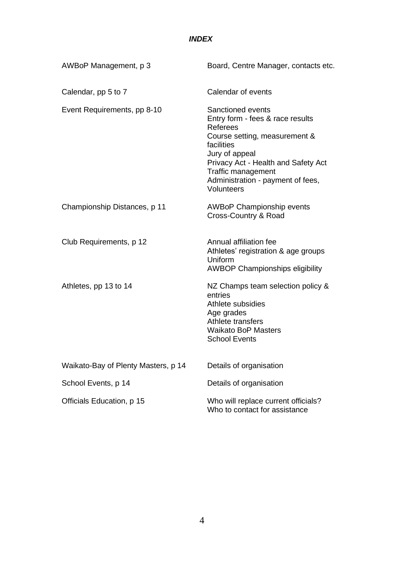## *INDEX*

| AWBoP Management, p 3               | Board, Centre Manager, contacts etc.                                                                                                                                                                                                               |  |  |
|-------------------------------------|----------------------------------------------------------------------------------------------------------------------------------------------------------------------------------------------------------------------------------------------------|--|--|
| Calendar, pp 5 to 7                 | Calendar of events                                                                                                                                                                                                                                 |  |  |
| Event Requirements, pp 8-10         | Sanctioned events<br>Entry form - fees & race results<br>Referees<br>Course setting, measurement &<br>facilities<br>Jury of appeal<br>Privacy Act - Health and Safety Act<br>Traffic management<br>Administration - payment of fees,<br>Volunteers |  |  |
| Championship Distances, p 11        | <b>AWBoP Championship events</b><br>Cross-Country & Road                                                                                                                                                                                           |  |  |
| Club Requirements, p 12             | Annual affiliation fee<br>Athletes' registration & age groups<br>Uniform<br><b>AWBOP Championships eligibility</b>                                                                                                                                 |  |  |
| Athletes, pp 13 to 14               | NZ Champs team selection policy &<br>entries<br>Athlete subsidies<br>Age grades<br>Athlete transfers<br><b>Waikato BoP Masters</b><br><b>School Events</b>                                                                                         |  |  |
| Waikato-Bay of Plenty Masters, p 14 | Details of organisation                                                                                                                                                                                                                            |  |  |
| School Events, p 14                 | Details of organisation                                                                                                                                                                                                                            |  |  |
| Officials Education, p 15           | Who will replace current officials?<br>Who to contact for assistance                                                                                                                                                                               |  |  |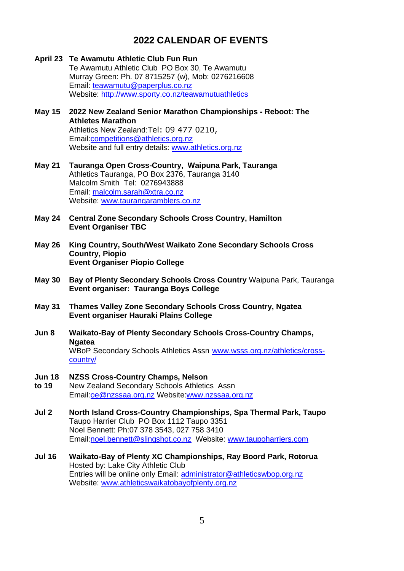# **2022 CALENDAR OF EVENTS**

**April 23 Te Awamutu Athletic Club Fun Run** Te Awamutu Athletic Club PO Box 30, Te Awamutu Murray Green: Ph. 07 8715257 (w), Mob: 0276216608 Email[: teawamutu@paperplus.co.nz](mailto:paperplus@teawamutu.co.nz) Website[: http://www.sporty.co.nz/teawamutuathletics](http://www.sporty.co.nz/teawamutuathletics) **May 15 2022 New Zealand Senior Marathon Championships - Reboot: The Athletes Marathon** Athletics New Zealand:Tel: 09 477 0210, Emai[l:competitions@athletics.org.nz](mailto:competitions@athletics.org.nz) Website and full entry details[: www.athletics.org.nz](http://www.athletics.org.nz/) **May 21 Tauranga Open Cross-Country, Waipuna Park, Tauranga**  Athletics Tauranga, PO Box 2376, Tauranga 3140 Malcolm Smith Tel: 0276943888 Email[: malcolm.sarah@xtra.co.nz](mailto:malcolm.sarah@xtra.co.nz) Website[: www.taurangaramblers.co.nz](http://www.taurangaramblers.co.nz/) **May 24 Central Zone Secondary Schools Cross Country, Hamilton Event Organiser TBC May 26 King Country, South/West Waikato Zone Secondary Schools Cross Country, Piopio Event Organiser Piopio College May 30 Bay of Plenty Secondary Schools Cross Country** Waipuna Park, Tauranga **Event organiser: Tauranga Boys College May 31 Thames Valley Zone Secondary Schools Cross Country, Ngatea Event organiser Hauraki Plains College Jun 8 Waikato-Bay of Plenty Secondary Schools Cross-Country Champs, Ngatea** WBoP Secondary Schools Athletics Assn [www.wsss.org.nz/athletics/cross](http://www.wsss.org.nz/athletics/cross-country/)[country/](http://www.wsss.org.nz/athletics/cross-country/) **Jun 18 NZSS Cross-Country Champs, Nelson to 19** New Zealand Secondary Schools Athletics Assn Emai[l:oe@nzssaa.org.nz](mailto:oe@nzssaa.org.nz) Websit[e:www.nzssaa.org.nz](http://www.nzssaa.org.nz/) **Jul 2 North Island Cross-Country Championships, Spa Thermal Park, Taupo**  Taupo Harrier Club PO Box 1112 Taupo 3351 Noel Bennett: Ph:07 378 3543, 027 758 3410 Emai[l:noel.bennett@slingshot.co.nz](file:///C:/Users/stephenr/AppData/Local/Microsoft/Windows/INetCache/helend/AppData/Local/Microsoft/Windows/Temporary%20Internet%20Files/Content.Outlook/AppData/Local/Microsoft/Windows/Temporary%20Internet%20Files/AppData/Local/Microsoft/Windows/Temporary%20Internet%20Files/helend/AppData/Local/Microsoft/Windows/Temporary%20Internet%20Files/Content.Outlook/QCPBM239/noel.bennett@slingshot.co.nz) Website[: www.taupoharriers.com](http://www.taupoharriers.com/) **Jul 16 Waikato-Bay of Plenty XC Championships, Ray Boord Park, Rotorua** Hosted by: Lake City Athletic Club Entries will be online only Email[: administrator@athleticswbop.org.nz](mailto:administrator@athleticswbop.org.nz) Website[: www.athleticswaikatobayofplenty.org.nz](file:///C:/Users/stephenr/AppData/Local/Microsoft/Windows/INetCache/helend/AppData/Local/Microsoft/Windows/Temporary%20Internet%20Files/Content.Outlook/AppData/Local/Microsoft/Windows/Temporary%20Internet%20Files/AppData/Local/Microsoft/Windows/Temporary%20Internet%20Files/helend/AppData/Local/Microsoft/Windows/Temporary%20Internet%20Files/Content.Outlook/QCPBM239/www.athleticswaikatobayofplenty.org.nz)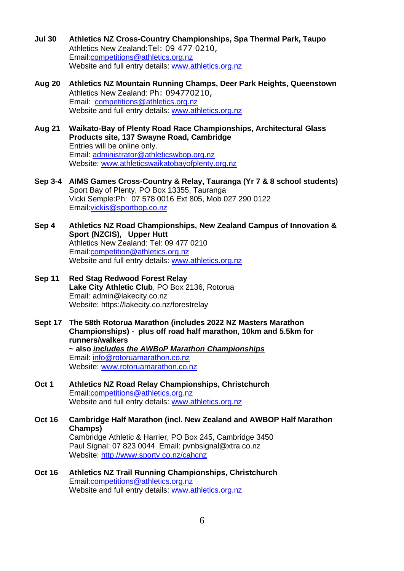- **Jul 30 Athletics NZ Cross-Country Championships, Spa Thermal Park, Taupo** Athletics New Zealand:Tel: 09 477 0210, Emai[l:competitions@athletics.org.nz](mailto:competitions@athletics.org.nz) Website and full entry details[: www.athletics.org.nz](http://www.athletics.org.nz/)
- **Aug 20 Athletics NZ Mountain Running Champs, Deer Park Heights, Queenstown** Athletics New Zealand: Ph: 094770210, Email: [competitions@athletics.org.nz](mailto:gareth@athletics.org.nz) Website and full entry details[: www.athletics.org.nz](http://www.athletics.org.nz/)
- **Aug 21 Waikato-Bay of Plenty Road Race Championships, Architectural Glass Products site, 137 Swayne Road, Cambridge**  Entries will be online only. Email[: administrator@athleticswbop.org.nz](mailto:administrator@athleticswbop.org.nz) Website[: www.athleticswaikatobayofplenty.org.nz](file:///C:/Users/stephenr/AppData/Local/Microsoft/Windows/INetCache/helend/AppData/Local/Microsoft/Windows/Temporary%20Internet%20Files/Content.Outlook/AppData/Local/Microsoft/Windows/Temporary%20Internet%20Files/AppData/Local/Microsoft/Windows/Temporary%20Internet%20Files/helend/AppData/Local/Microsoft/Windows/Temporary%20Internet%20Files/Content.Outlook/QCPBM239/www.athleticswaikatobayofplenty.org.nz)
- **Sep 3-4 AIMS Games Cross-Country & Relay, Tauranga (Yr 7 & 8 school students)** Sport Bay of Plenty, PO Box 13355, Tauranga Vicki Semple:Ph: 07 578 0016 Ext 805, Mob 027 290 0122 Emai[l:vickis@sportbop.co.nz](mailto:vickis@sportbop.co.nz)
- **Sep 4 Athletics NZ Road Championships, New Zealand Campus of Innovation & Sport (NZCIS), Upper Hutt** Athletics New Zealand: Tel: 09 477 0210 Emai[l:competition@athletics.org.nz](mailto:competition@athletics.org.nz) Website and full entry details[: www.athletics.org.nz](http://www.athletics.org.nz/)
- **Sep 11 Red Stag Redwood Forest Relay Lake City Athletic Club**, PO Box 2136, Rotorua Email: admin@lakecity.co.nz Website: https://lakecity.co.nz/forestrelay
- **Sept 17 The 58th Rotorua Marathon (includes 2022 NZ Masters Marathon Championships) - plus off road half marathon, 10km and 5.5km for runners/walkers ~ also** *includes the AWBoP Marathon Championships* Email[: info@rotoruamarathon.co.nz](mailto:info@rotoruamarathon.co.nz) Website[: www.rotoruamarathon.co.nz](http://www.rotoruamarathon.co.nz/)
- **Oct 1 Athletics NZ Road Relay Championships, Christchurch** Emai[l:competitions@athletics.org.nz](mailto:competitions@athletics.org.nz) Website and full entry details[: www.athletics.org.nz](http://www.athletics.org.nz/)
- **Oct 16 Cambridge Half Marathon (incl. New Zealand and AWBOP Half Marathon Champs)**  Cambridge Athletic & Harrier, PO Box 245, Cambridge 3450 Paul Signal: 07 823 0044 Email: pvnbsignal@xtra.co.nz Website[: http://www.sporty.co.nz/cahcnz](http://www.sporty.co.nz/cahcnz)
- **Oct 16 Athletics NZ Trail Running Championships, Christchurch** Emai[l:competitions@athletics.org.nz](mailto:competitions@athletics.org.nz) Website and full entry details[: www.athletics.org.nz](http://www.athletics.org.nz/)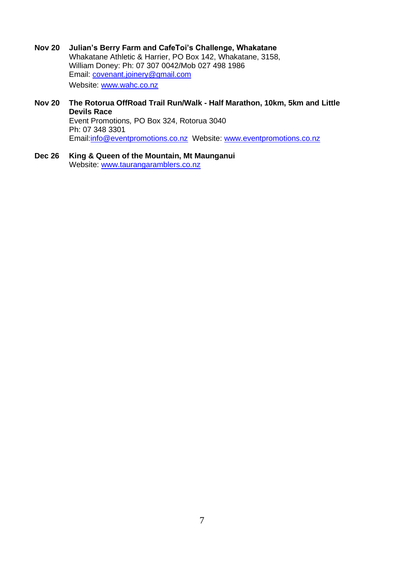- **Nov 20 Julian's Berry Farm and CafeToi's Challenge, Whakatane** Whakatane Athletic & Harrier, PO Box 142, Whakatane, 3158, William Doney: Ph: 07 307 0042/Mob 027 498 1986 Email: [covenant.joinery@gmail.com](mailto:covenant.joinery@gmail.com) Website[: www.wahc.co.nz](http://www.wahc.co.nz/)
- **Nov 20 The Rotorua OffRoad Trail Run/Walk - Half Marathon, 10km, 5km and Little Devils Race** Event Promotions*,* PO Box 324, Rotorua 3040 Ph: 07 348 3301 Emai[l:info@eventpromotions.co.nz](mailto:info@eventpromotions.co.nz) Website: [www.eventpromotions.co.nz](http://www.eventpromotions.co.nz/)
- **Dec 26 King & Queen of the Mountain, Mt Maunganui**  Website[: www.taurangaramblers.co.nz](http://www.taurangaramblers.co.nz/)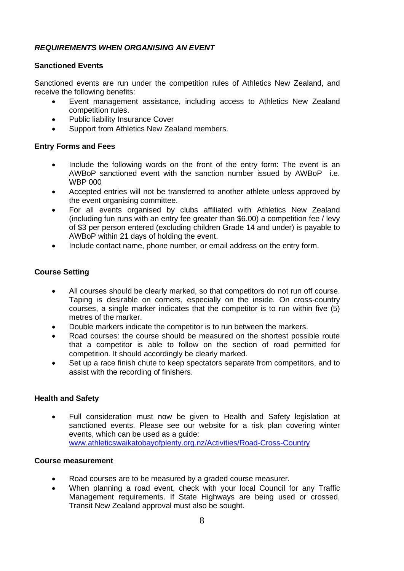## *REQUIREMENTS WHEN ORGANISING AN EVENT*

## **Sanctioned Events**

Sanctioned events are run under the competition rules of Athletics New Zealand, and receive the following benefits:

- Event management assistance, including access to Athletics New Zealand competition rules.
- Public liability Insurance Cover
- Support from Athletics New Zealand members.

### **Entry Forms and Fees**

- Include the following words on the front of the entry form: The event is an AWBoP sanctioned event with the sanction number issued by AWBoP i.e. WBP 000
- Accepted entries will not be transferred to another athlete unless approved by the event organising committee.
- For all events organised by clubs affiliated with Athletics New Zealand (including fun runs with an entry fee greater than \$6.00) a competition fee / levy of \$3 per person entered (excluding children Grade 14 and under) is payable to AWBoP within 21 days of holding the event.
- Include contact name, phone number, or email address on the entry form.

## **Course Setting**

- All courses should be clearly marked, so that competitors do not run off course. Taping is desirable on corners, especially on the inside. On cross-country courses, a single marker indicates that the competitor is to run within five (5) metres of the marker.
- Double markers indicate the competitor is to run between the markers.
- Road courses: the course should be measured on the shortest possible route that a competitor is able to follow on the section of road permitted for competition. It should accordingly be clearly marked.
- Set up a race finish chute to keep spectators separate from competitors, and to assist with the recording of finishers.

## **Health and Safety**

• Full consideration must now be given to Health and Safety legislation at sanctioned events. Please see our website for a risk plan covering winter events, which can be used as a quide: [www.athleticswaikatobayofplenty.org.nz/Activities/Road-Cross-Country](http://www.athleticswaikatobayofplenty.org.nz/Activities/Road-Cross-Country)

## **Course measurement**

- Road courses are to be measured by a graded course measurer.
- When planning a road event, check with your local Council for any Traffic Management requirements. If State Highways are being used or crossed, Transit New Zealand approval must also be sought.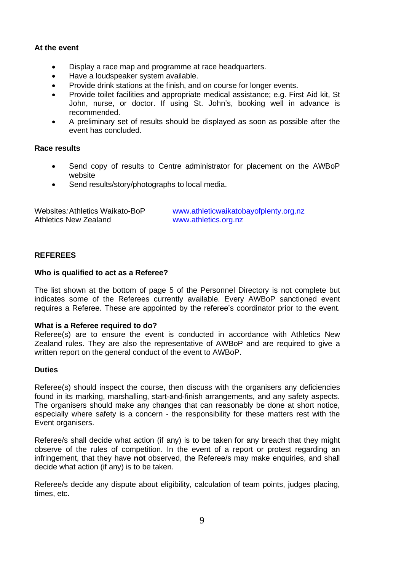#### **At the event**

- Display a race map and programme at race headquarters.
- Have a loudspeaker system available.
- Provide drink stations at the finish, and on course for longer events.
- Provide toilet facilities and appropriate medical assistance; e.g. First Aid kit, St John, nurse, or doctor. If using St. John's, booking well in advance is recommended.
- A preliminary set of results should be displayed as soon as possible after the event has concluded.

## **Race results**

- Send copy of results to Centre administrator for placement on the AWBoP website
- Send results/story/photographs to local media.

| Websites: Athletics Waikato-BoP | www.athleticwaikatobayofplenty.org.nz |
|---------------------------------|---------------------------------------|
| Athletics New Zealand           | www.athletics.org.nz                  |

## **REFEREES**

#### **Who is qualified to act as a Referee?**

The list shown at the bottom of page 5 of the Personnel Directory is not complete but indicates some of the Referees currently available. Every AWBoP sanctioned event requires a Referee. These are appointed by the referee's coordinator prior to the event.

#### **What is a Referee required to do?**

Referee(s) are to ensure the event is conducted in accordance with Athletics New Zealand rules. They are also the representative of AWBoP and are required to give a written report on the general conduct of the event to AWBoP.

#### **Duties**

Referee(s) should inspect the course, then discuss with the organisers any deficiencies found in its marking, marshalling, start-and-finish arrangements, and any safety aspects. The organisers should make any changes that can reasonably be done at short notice, especially where safety is a concern - the responsibility for these matters rest with the Event organisers.

Referee/s shall decide what action (if any) is to be taken for any breach that they might observe of the rules of competition. In the event of a report or protest regarding an infringement, that they have **not** observed, the Referee/s may make enquiries, and shall decide what action (if any) is to be taken.

Referee/s decide any dispute about eligibility, calculation of team points, judges placing, times, etc.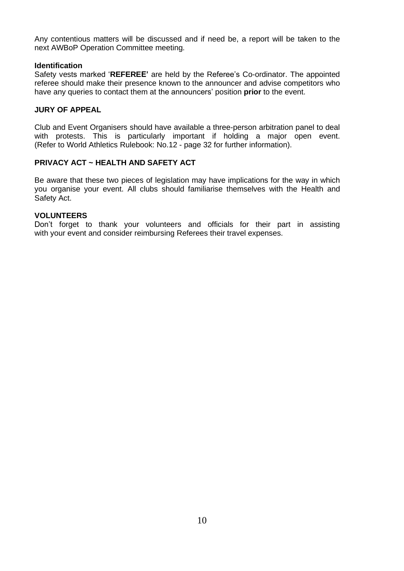Any contentious matters will be discussed and if need be, a report will be taken to the next AWBoP Operation Committee meeting.

#### **Identification**

Safety vests marked '**REFEREE'** are held by the Referee's Co-ordinator. The appointed referee should make their presence known to the announcer and advise competitors who have any queries to contact them at the announcers' position **prior** to the event.

## **JURY OF APPEAL**

Club and Event Organisers should have available a three-person arbitration panel to deal with protests. This is particularly important if holding a major open event. (Refer to World Athletics Rulebook: No.12 - page 32 for further information).

## **PRIVACY ACT ~ HEALTH AND SAFETY ACT**

Be aware that these two pieces of legislation may have implications for the way in which you organise your event. All clubs should familiarise themselves with the Health and Safety Act.

#### **VOLUNTEERS**

Don't forget to thank your volunteers and officials for their part in assisting with your event and consider reimbursing Referees their travel expenses.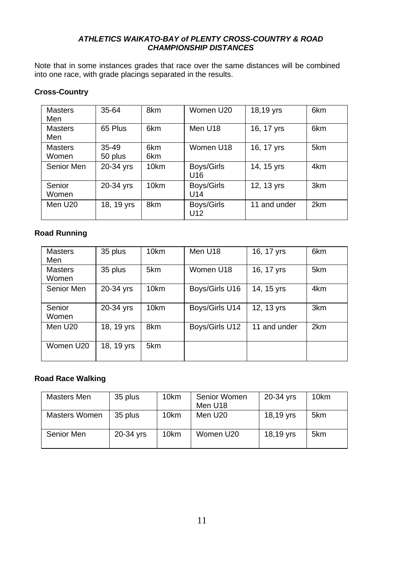## *ATHLETICS WAIKATO-BAY of PLENTY CROSS-COUNTRY & ROAD CHAMPIONSHIP DISTANCES*

Note that in some instances grades that race over the same distances will be combined into one race, with grade placings separated in the results.

## **Cross-Country**

| <b>Masters</b><br>Men   | 35-64                | 8km              | Women U20         | 18,19 yrs    | 6km             |
|-------------------------|----------------------|------------------|-------------------|--------------|-----------------|
| <b>Masters</b><br>Men   | 65 Plus              | 6km              | Men U18           | 16, 17 yrs   | 6km             |
| <b>Masters</b><br>Women | $35 - 49$<br>50 plus | 6km<br>6km       | Women U18         | 16, 17 yrs   | 5km             |
| Senior Men              | 20-34 yrs            | 10 <sub>km</sub> | Boys/Girls<br>U16 | 14, 15 yrs   | 4km             |
| Senior<br>Women         | 20-34 yrs            | 10 <sub>km</sub> | Boys/Girls<br>U14 | 12, 13 yrs   | 3 <sub>km</sub> |
| Men U20                 | 18, 19 yrs           | 8km              | Boys/Girls<br>U12 | 11 and under | 2km             |

## **Road Running**

| <b>Masters</b><br>Men   | 35 plus    | 10 <sub>km</sub> | Men U18        | 16, 17 yrs   | 6km             |
|-------------------------|------------|------------------|----------------|--------------|-----------------|
| <b>Masters</b><br>Women | 35 plus    | 5km              | Women U18      | 16, 17 yrs   | 5km             |
| Senior Men              | 20-34 yrs  | 10 <sub>km</sub> | Boys/Girls U16 | 14, 15 yrs   | 4km             |
| Senior<br>Women         | 20-34 yrs  | 10 <sub>km</sub> | Boys/Girls U14 | 12, 13 yrs   | 3 <sub>km</sub> |
| Men U20                 | 18, 19 yrs | 8km              | Boys/Girls U12 | 11 and under | 2km             |
| Women U20               | 18, 19 yrs | 5km              |                |              |                 |

# **Road Race Walking**

| Masters Men   | 35 plus   | 10 <sub>km</sub> | Senior Women<br>Men U18 | 20-34 yrs | 10 <sub>km</sub> |
|---------------|-----------|------------------|-------------------------|-----------|------------------|
| Masters Women | 35 plus   | 10 <sub>km</sub> | Men U20                 | 18,19 yrs | 5km              |
| Senior Men    | 20-34 yrs | 10 <sub>km</sub> | Women U20               | 18,19 yrs | 5km              |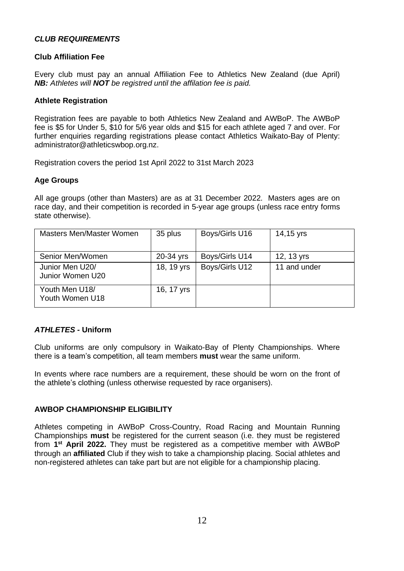## *CLUB REQUIREMENTS*

### **Club Affiliation Fee**

Every club must pay an annual Affiliation Fee to Athletics New Zealand (due April) *NB: Athletes will NOT be registred until the affilation fee is paid.*

#### **Athlete Registration**

Registration fees are payable to both Athletics New Zealand and AWBoP. The AWBoP fee is \$5 for Under 5, \$10 for 5/6 year olds and \$15 for each athlete aged 7 and over. For further enquiries regarding registrations please contact Athletics Waikato-Bay of Plenty: administrator@athleticswbop.org.nz.

Registration covers the period 1st April 2022 to 31st March 2023

## **Age Groups**

All age groups (other than Masters) are as at 31 December 2022. Masters ages are on race day, and their competition is recorded in 5-year age groups (unless race entry forms state otherwise).

| Masters Men/Master Women            | 35 plus    | Boys/Girls U16 | 14,15 yrs    |
|-------------------------------------|------------|----------------|--------------|
| Senior Men/Women                    | 20-34 yrs  | Boys/Girls U14 | 12, 13 yrs   |
| Junior Men U20/<br>Junior Women U20 | 18, 19 yrs | Boys/Girls U12 | 11 and under |
| Youth Men U18/<br>Youth Women U18   | 16, 17 yrs |                |              |

## *ATHLETES -* **Uniform**

Club uniforms are only compulsory in Waikato-Bay of Plenty Championships. Where there is a team's competition, all team members **must** wear the same uniform.

In events where race numbers are a requirement, these should be worn on the front of the athlete's clothing (unless otherwise requested by race organisers).

#### **AWBOP CHAMPIONSHIP ELIGIBILITY**

Athletes competing in AWBoP Cross-Country, Road Racing and Mountain Running Championships **must** be registered for the current season (i.e. they must be registered from **1 st April 2022.** They must be registered as a competitive member with AWBoP through an **affiliated** Club if they wish to take a championship placing. Social athletes and non-registered athletes can take part but are not eligible for a championship placing.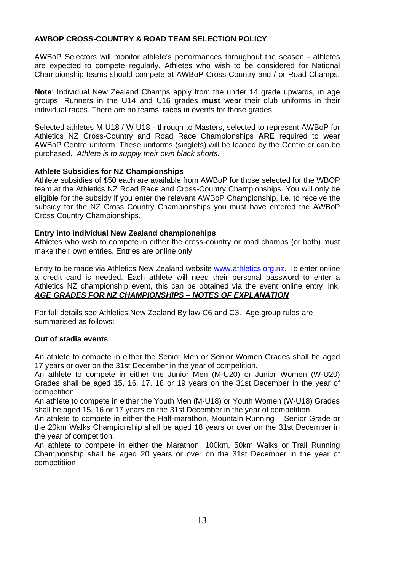## **AWBOP CROSS-COUNTRY & ROAD TEAM SELECTION POLICY**

AWBoP Selectors will monitor athlete's performances throughout the season - athletes are expected to compete regularly. Athletes who wish to be considered for National Championship teams should compete at AWBoP Cross-Country and / or Road Champs.

**Note**: Individual New Zealand Champs apply from the under 14 grade upwards, in age groups. Runners in the U14 and U16 grades **must** wear their club uniforms in their individual races. There are no teams' races in events for those grades.

Selected athletes M U18 / W U18 - through to Masters, selected to represent AWBoP for Athletics NZ Cross-Country and Road Race Championships **ARE** required to wear AWBoP Centre uniform. These uniforms (singlets) will be loaned by the Centre or can be purchased. *Athlete is to supply their own black shorts.*

#### **Athlete Subsidies for NZ Championships**

Athlete subsidies of \$50 each are available from AWBoP for those selected for the WBOP team at the Athletics NZ Road Race and Cross-Country Championships. You will only be eligible for the subsidy if you enter the relevant AWBoP Championship, i.e. to receive the subsidy for the NZ Cross Country Championships you must have entered the AWBoP Cross Country Championships.

## **Entry into individual New Zealand championships**

Athletes who wish to compete in either the cross-country or road champs (or both) must make their own entries. Entries are online only.

Entry to be made via Athletics New Zealand website [www.athletics.org.nz.](http://www.athletics.org.nz/) To enter online a credit card is needed. Each athlete will need their personal password to enter a Athletics NZ championship event, this can be obtained via the event online entry link. *AGE GRADES FOR NZ CHAMPIONSHIPS – NOTES OF EXPLANATION*

For full details see Athletics New Zealand By law C6 and C3. Age group rules are summarised as follows:

## **Out of stadia events**

An athlete to compete in either the Senior Men or Senior Women Grades shall be aged 17 years or over on the 31st December in the year of competition.

An athlete to compete in either the Junior Men (M-U20) or Junior Women (W-U20) Grades shall be aged 15, 16, 17, 18 or 19 years on the 31st December in the year of competition.

An athlete to compete in either the Youth Men (M-U18) or Youth Women (W-U18) Grades shall be aged 15, 16 or 17 years on the 31st December in the year of competition.

An athlete to compete in either the Half-marathon, Mountain Running – Senior Grade or the 20km Walks Championship shall be aged 18 years or over on the 31st December in the year of competition.

An athlete to compete in either the Marathon, 100km, 50km Walks or Trail Running Championship shall be aged 20 years or over on the 31st December in the year of competitiion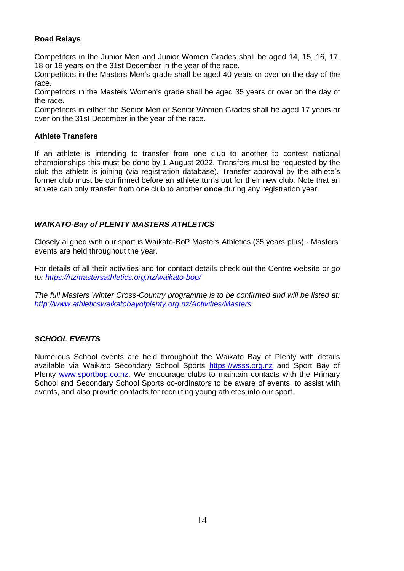## **Road Relays**

Competitors in the Junior Men and Junior Women Grades shall be aged 14, 15, 16, 17, 18 or 19 years on the 31st December in the year of the race.

Competitors in the Masters Men's grade shall be aged 40 years or over on the day of the race.

Competitors in the Masters Women's grade shall be aged 35 years or over on the day of the race.

Competitors in either the Senior Men or Senior Women Grades shall be aged 17 years or over on the 31st December in the year of the race.

## **Athlete Transfers**

If an athlete is intending to transfer from one club to another to contest national championships this must be done by 1 August 2022. Transfers must be requested by the club the athlete is joining (via registration database). Transfer approval by the athlete's former club must be confirmed before an athlete turns out for their new club. Note that an athlete can only transfer from one club to another **once** during any registration year.

## *WAIKATO-Bay of PLENTY MASTERS ATHLETICS*

Closely aligned with our sport is Waikato-BoP Masters Athletics (35 years plus) - Masters' events are held throughout the year.

For details of all their activities and for contact details check out the Centre website or *go to: <https://nzmastersathletics.org.nz/waikato-bop/>*

*The full Masters Winter Cross-Country programme is to be confirmed and will be listed at: <http://www.athleticswaikatobayofplenty.org.nz/Activities/Masters>*

#### *SCHOOL EVENTS*

Numerous School events are held throughout the Waikato Bay of Plenty with details available via Waikato Secondary School Sports [https://wsss.org.nz](https://wsss.org.nz/) and Sport Bay of Plenty [www.sportbop.co.nz.](http://www.sportbop.co.nz/) We encourage clubs to maintain contacts with the Primary School and Secondary School Sports co-ordinators to be aware of events, to assist with events, and also provide contacts for recruiting young athletes into our sport.